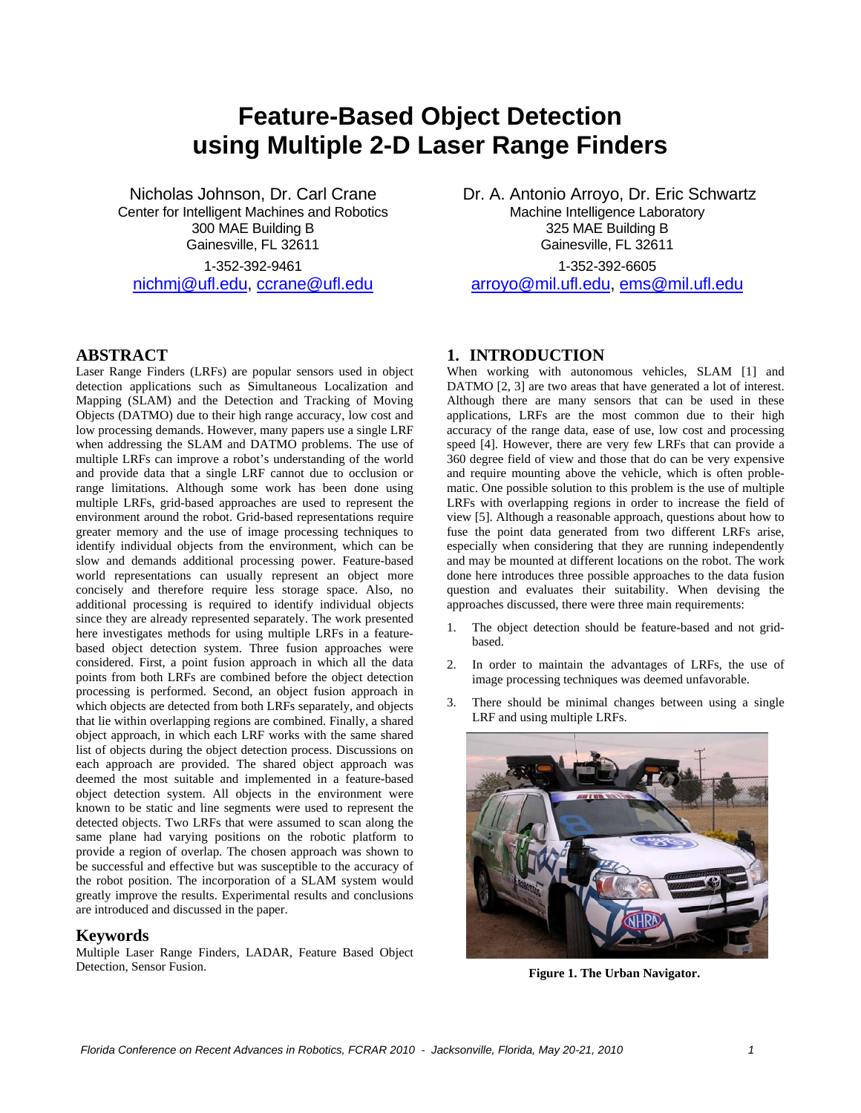# **Feature-Based Object Detection using Multiple 2-D Laser Range Finders**

Nicholas Johnson, Dr. Carl Crane Center for Intelligent Machines and Robotics 300 MAE Building B Gainesville, FL 32611 1-352-392-9461 nichmj@ufl.edu, ccrane@ufl.edu

## **ABSTRACT**

Laser Range Finders (LRFs) are popular sensors used in object detection applications such as Simultaneous Localization and Mapping (SLAM) and the Detection and Tracking of Moving Objects (DATMO) due to their high range accuracy, low cost and low processing demands. However, many papers use a single LRF when addressing the SLAM and DATMO problems. The use of multiple LRFs can improve a robot's understanding of the world and provide data that a single LRF cannot due to occlusion or range limitations. Although some work has been done using multiple LRFs, grid-based approaches are used to represent the environment around the robot. Grid-based representations require greater memory and the use of image processing techniques to identify individual objects from the environment, which can be slow and demands additional processing power. Feature-based world representations can usually represent an object more concisely and therefore require less storage space. Also, no additional processing is required to identify individual objects since they are already represented separately. The work presented here investigates methods for using multiple LRFs in a featurebased object detection system. Three fusion approaches were considered. First, a point fusion approach in which all the data points from both LRFs are combined before the object detection processing is performed. Second, an object fusion approach in which objects are detected from both LRFs separately, and objects that lie within overlapping regions are combined. Finally, a shared object approach, in which each LRF works with the same shared list of objects during the object detection process. Discussions on each approach are provided. The shared object approach was deemed the most suitable and implemented in a feature-based object detection system. All objects in the environment were known to be static and line segments were used to represent the detected objects. Two LRFs that were assumed to scan along the same plane had varying positions on the robotic platform to provide a region of overlap. The chosen approach was shown to be successful and effective but was susceptible to the accuracy of the robot position. The incorporation of a SLAM system would greatly improve the results. Experimental results and conclusions are introduced and discussed in the paper.

#### **Keywords**

Multiple Laser Range Finders, LADAR, Feature Based Object Detection, Sensor Fusion.

 Dr. A. Antonio Arroyo, Dr. Eric Schwartz Machine Intelligence Laboratory 325 MAE Building B Gainesville, FL 32611 1-352-392-6605 arroyo@mil.ufl.edu, ems@mil.ufl.edu

## **1. INTRODUCTION**

When working with autonomous vehicles, SLAM [1] and DATMO [2, 3] are two areas that have generated a lot of interest. Although there are many sensors that can be used in these applications, LRFs are the most common due to their high accuracy of the range data, ease of use, low cost and processing speed [4]. However, there are very few LRFs that can provide a 360 degree field of view and those that do can be very expensive and require mounting above the vehicle, which is often problematic. One possible solution to this problem is the use of multiple LRFs with overlapping regions in order to increase the field of view [5]. Although a reasonable approach, questions about how to fuse the point data generated from two different LRFs arise, especially when considering that they are running independently and may be mounted at different locations on the robot. The work done here introduces three possible approaches to the data fusion question and evaluates their suitability. When devising the approaches discussed, there were three main requirements:

- The object detection should be feature-based and not gridbased.
- 2. In order to maintain the advantages of LRFs, the use of image processing techniques was deemed unfavorable.
- 3. There should be minimal changes between using a single LRF and using multiple LRFs.



**Figure 1. The Urban Navigator.**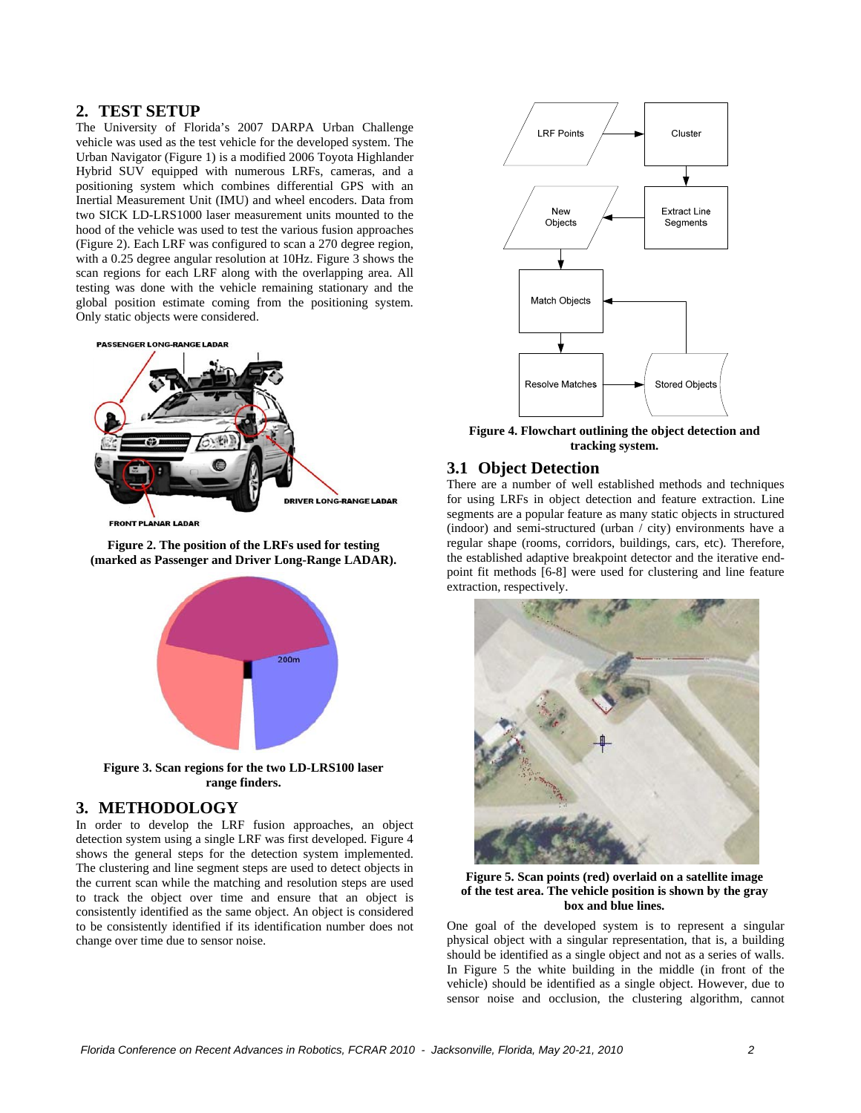# **2. TEST SETUP**

The University of Florida's 2007 DARPA Urban Challenge vehicle was used as the test vehicle for the developed system. The Urban Navigator (Figure 1) is a modified 2006 Toyota Highlander Hybrid SUV equipped with numerous LRFs, cameras, and a positioning system which combines differential GPS with an Inertial Measurement Unit (IMU) and wheel encoders. Data from two SICK LD-LRS1000 laser measurement units mounted to the hood of the vehicle was used to test the various fusion approaches (Figure 2). Each LRF was configured to scan a 270 degree region, with a 0.25 degree angular resolution at 10Hz. Figure 3 shows the scan regions for each LRF along with the overlapping area. All testing was done with the vehicle remaining stationary and the global position estimate coming from the positioning system. Only static objects were considered.



LANAR LADAR

**Figure 2. The position of the LRFs used for testing (marked as Passenger and Driver Long-Range LADAR).** 



**Figure 3. Scan regions for the two LD-LRS100 laser range finders.** 

## **3. METHODOLOGY**

In order to develop the LRF fusion approaches, an object detection system using a single LRF was first developed. Figure 4 shows the general steps for the detection system implemented. The clustering and line segment steps are used to detect objects in the current scan while the matching and resolution steps are used to track the object over time and ensure that an object is consistently identified as the same object. An object is considered to be consistently identified if its identification number does not change over time due to sensor noise.



**Figure 4. Flowchart outlining the object detection and tracking system.** 

## **3.1 Object Detection**

There are a number of well established methods and techniques for using LRFs in object detection and feature extraction. Line segments are a popular feature as many static objects in structured (indoor) and semi-structured (urban / city) environments have a regular shape (rooms, corridors, buildings, cars, etc). Therefore, the established adaptive breakpoint detector and the iterative endpoint fit methods [6-8] were used for clustering and line feature extraction, respectively.



**Figure 5. Scan points (red) overlaid on a satellite image of the test area. The vehicle position is shown by the gray box and blue lines.** 

One goal of the developed system is to represent a singular physical object with a singular representation, that is, a building should be identified as a single object and not as a series of walls. In Figure 5 the white building in the middle (in front of the vehicle) should be identified as a single object. However, due to sensor noise and occlusion, the clustering algorithm, cannot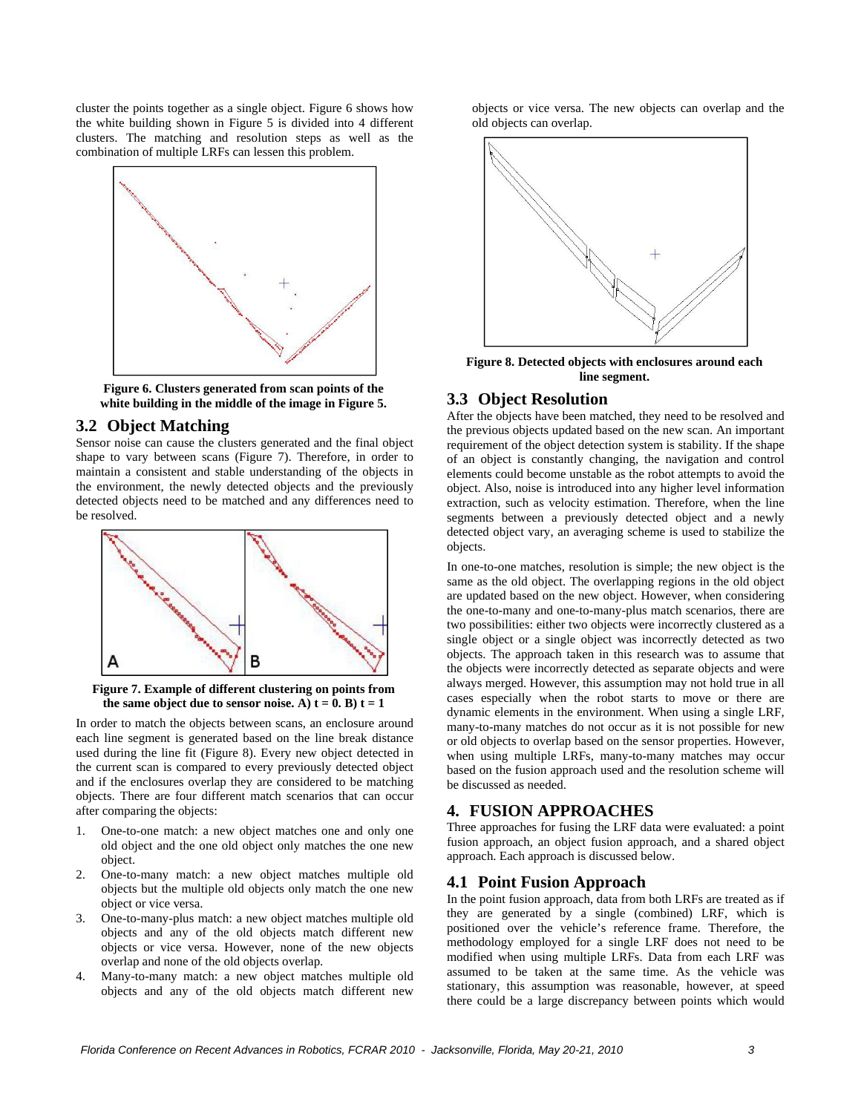cluster the points together as a single object. Figure 6 shows how the white building shown in Figure 5 is divided into 4 different clusters. The matching and resolution steps as well as the combination of multiple LRFs can lessen this problem.



**Figure 6. Clusters generated from scan points of the white building in the middle of the image in Figure 5.** 

## **3.2 Object Matching**

Sensor noise can cause the clusters generated and the final object shape to vary between scans (Figure 7). Therefore, in order to maintain a consistent and stable understanding of the objects in the environment, the newly detected objects and the previously detected objects need to be matched and any differences need to be resolved.



**Figure 7. Example of different clustering on points from**  the same object due to sensor noise. A)  $t = 0$ . B)  $t = 1$ 

In order to match the objects between scans, an enclosure around each line segment is generated based on the line break distance used during the line fit (Figure 8). Every new object detected in the current scan is compared to every previously detected object and if the enclosures overlap they are considered to be matching objects. There are four different match scenarios that can occur after comparing the objects:

- 1. One-to-one match: a new object matches one and only one old object and the one old object only matches the one new object.
- 2. One-to-many match: a new object matches multiple old objects but the multiple old objects only match the one new object or vice versa.
- 3. One-to-many-plus match: a new object matches multiple old objects and any of the old objects match different new objects or vice versa. However, none of the new objects overlap and none of the old objects overlap.
- 4. Many-to-many match: a new object matches multiple old objects and any of the old objects match different new

objects or vice versa. The new objects can overlap and the old objects can overlap.



**Figure 8. Detected objects with enclosures around each line segment.** 

#### **3.3 Object Resolution**

After the objects have been matched, they need to be resolved and the previous objects updated based on the new scan. An important requirement of the object detection system is stability. If the shape of an object is constantly changing, the navigation and control elements could become unstable as the robot attempts to avoid the object. Also, noise is introduced into any higher level information extraction, such as velocity estimation. Therefore, when the line segments between a previously detected object and a newly detected object vary, an averaging scheme is used to stabilize the objects.

In one-to-one matches, resolution is simple; the new object is the same as the old object. The overlapping regions in the old object are updated based on the new object. However, when considering the one-to-many and one-to-many-plus match scenarios, there are two possibilities: either two objects were incorrectly clustered as a single object or a single object was incorrectly detected as two objects. The approach taken in this research was to assume that the objects were incorrectly detected as separate objects and were always merged. However, this assumption may not hold true in all cases especially when the robot starts to move or there are dynamic elements in the environment. When using a single LRF, many-to-many matches do not occur as it is not possible for new or old objects to overlap based on the sensor properties. However, when using multiple LRFs, many-to-many matches may occur based on the fusion approach used and the resolution scheme will be discussed as needed.

# **4. FUSION APPROACHES**

Three approaches for fusing the LRF data were evaluated: a point fusion approach, an object fusion approach, and a shared object approach. Each approach is discussed below.

### **4.1 Point Fusion Approach**

In the point fusion approach, data from both LRFs are treated as if they are generated by a single (combined) LRF, which is positioned over the vehicle's reference frame. Therefore, the methodology employed for a single LRF does not need to be modified when using multiple LRFs. Data from each LRF was assumed to be taken at the same time. As the vehicle was stationary, this assumption was reasonable, however, at speed there could be a large discrepancy between points which would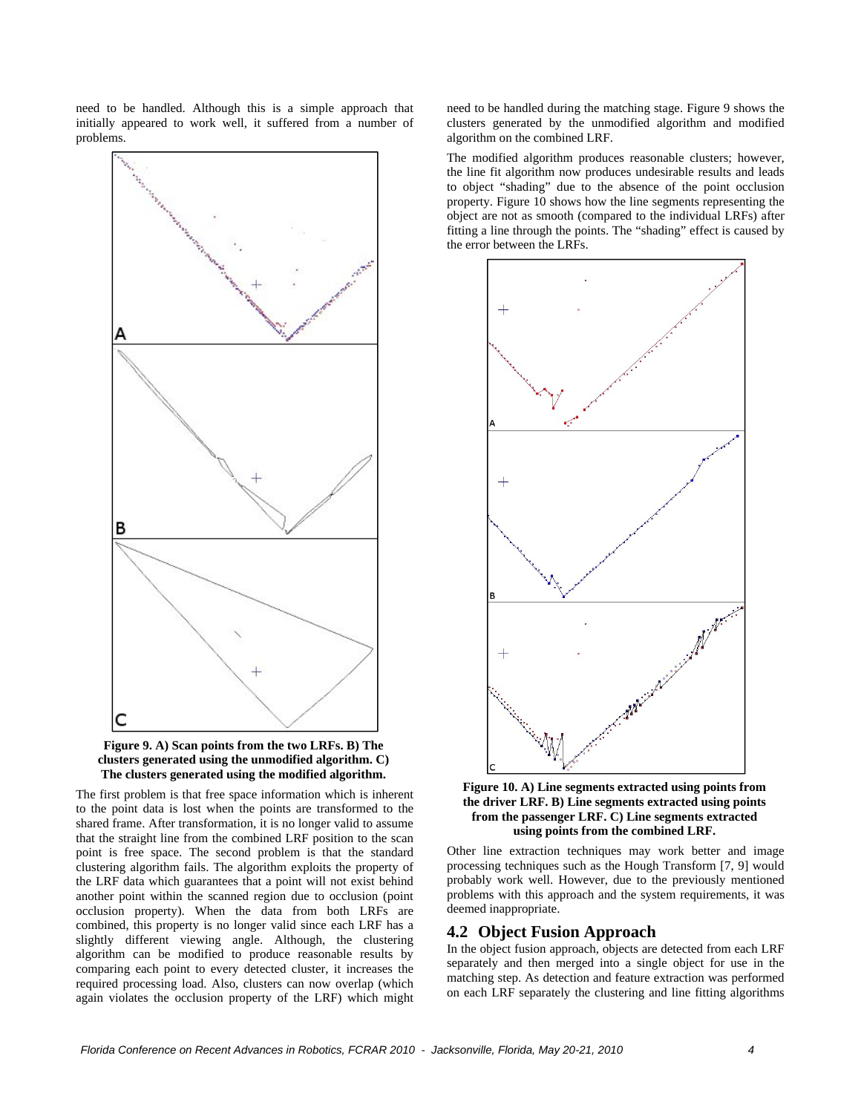need to be handled. Although this is a simple approach that initially appeared to work well, it suffered from a number of problems.





The first problem is that free space information which is inherent to the point data is lost when the points are transformed to the shared frame. After transformation, it is no longer valid to assume that the straight line from the combined LRF position to the scan point is free space. The second problem is that the standard clustering algorithm fails. The algorithm exploits the property of the LRF data which guarantees that a point will not exist behind another point within the scanned region due to occlusion (point occlusion property). When the data from both LRFs are combined, this property is no longer valid since each LRF has a slightly different viewing angle. Although, the clustering algorithm can be modified to produce reasonable results by comparing each point to every detected cluster, it increases the required processing load. Also, clusters can now overlap (which again violates the occlusion property of the LRF) which might

need to be handled during the matching stage. Figure 9 shows the clusters generated by the unmodified algorithm and modified algorithm on the combined LRF.

The modified algorithm produces reasonable clusters; however, the line fit algorithm now produces undesirable results and leads to object "shading" due to the absence of the point occlusion property. Figure 10 shows how the line segments representing the object are not as smooth (compared to the individual LRFs) after fitting a line through the points. The "shading" effect is caused by the error between the LRFs.





Other line extraction techniques may work better and image processing techniques such as the Hough Transform [7, 9] would probably work well. However, due to the previously mentioned problems with this approach and the system requirements, it was deemed inappropriate.

## **4.2 Object Fusion Approach**

In the object fusion approach, objects are detected from each LRF separately and then merged into a single object for use in the matching step. As detection and feature extraction was performed on each LRF separately the clustering and line fitting algorithms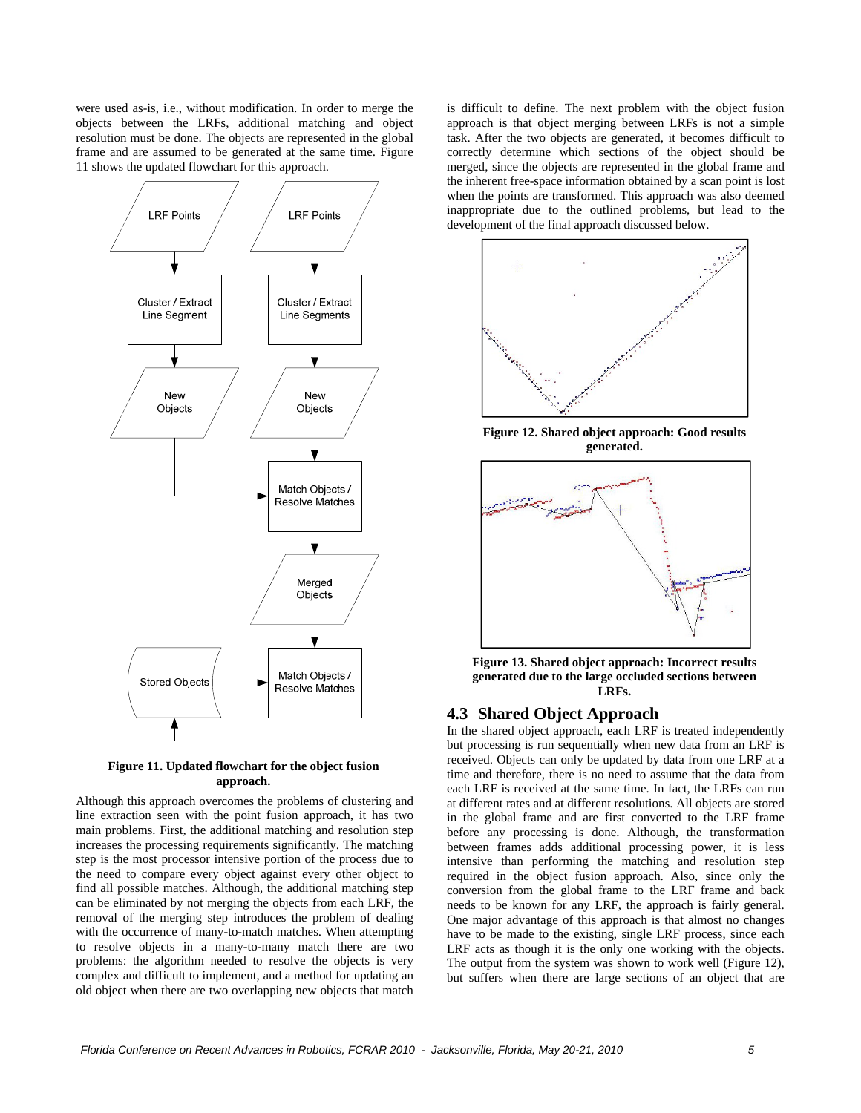were used as-is, i.e., without modification. In order to merge the objects between the LRFs, additional matching and object resolution must be done. The objects are represented in the global frame and are assumed to be generated at the same time. Figure 11 shows the updated flowchart for this approach.



**Figure 11. Updated flowchart for the object fusion approach.** 

Although this approach overcomes the problems of clustering and line extraction seen with the point fusion approach, it has two main problems. First, the additional matching and resolution step increases the processing requirements significantly. The matching step is the most processor intensive portion of the process due to the need to compare every object against every other object to find all possible matches. Although, the additional matching step can be eliminated by not merging the objects from each LRF, the removal of the merging step introduces the problem of dealing with the occurrence of many-to-match matches. When attempting to resolve objects in a many-to-many match there are two problems: the algorithm needed to resolve the objects is very complex and difficult to implement, and a method for updating an old object when there are two overlapping new objects that match

is difficult to define. The next problem with the object fusion approach is that object merging between LRFs is not a simple task. After the two objects are generated, it becomes difficult to correctly determine which sections of the object should be merged, since the objects are represented in the global frame and the inherent free-space information obtained by a scan point is lost when the points are transformed. This approach was also deemed inappropriate due to the outlined problems, but lead to the development of the final approach discussed below.



**Figure 12. Shared object approach: Good results generated.** 



**Figure 13. Shared object approach: Incorrect results generated due to the large occluded sections between LRFs.** 

## **4.3 Shared Object Approach**

In the shared object approach, each LRF is treated independently but processing is run sequentially when new data from an LRF is received. Objects can only be updated by data from one LRF at a time and therefore, there is no need to assume that the data from each LRF is received at the same time. In fact, the LRFs can run at different rates and at different resolutions. All objects are stored in the global frame and are first converted to the LRF frame before any processing is done. Although, the transformation between frames adds additional processing power, it is less intensive than performing the matching and resolution step required in the object fusion approach. Also, since only the conversion from the global frame to the LRF frame and back needs to be known for any LRF, the approach is fairly general. One major advantage of this approach is that almost no changes have to be made to the existing, single LRF process, since each LRF acts as though it is the only one working with the objects. The output from the system was shown to work well (Figure 12), but suffers when there are large sections of an object that are